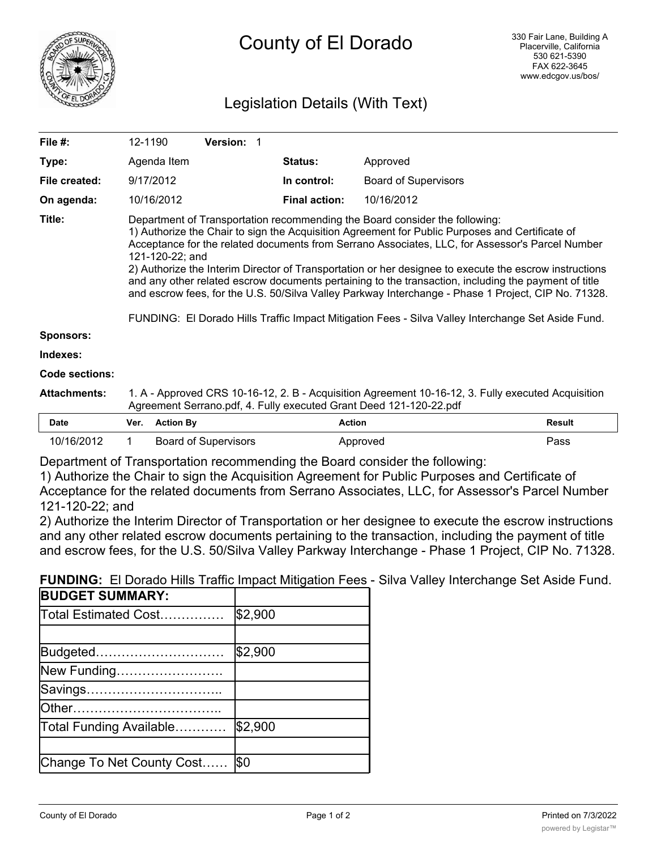

# Legislation Details (With Text)

| File $#$ :          | 12-1190                                                                                                                                                                                                                                                                                                                                                                                                                                                                                                                                                                                                                                                                                                                             |                  | <b>Version: 1</b>           |  |                      |                             |               |
|---------------------|-------------------------------------------------------------------------------------------------------------------------------------------------------------------------------------------------------------------------------------------------------------------------------------------------------------------------------------------------------------------------------------------------------------------------------------------------------------------------------------------------------------------------------------------------------------------------------------------------------------------------------------------------------------------------------------------------------------------------------------|------------------|-----------------------------|--|----------------------|-----------------------------|---------------|
| Type:               |                                                                                                                                                                                                                                                                                                                                                                                                                                                                                                                                                                                                                                                                                                                                     | Agenda Item      |                             |  | Status:              | Approved                    |               |
| File created:       |                                                                                                                                                                                                                                                                                                                                                                                                                                                                                                                                                                                                                                                                                                                                     | 9/17/2012        |                             |  | In control:          | <b>Board of Supervisors</b> |               |
| On agenda:          |                                                                                                                                                                                                                                                                                                                                                                                                                                                                                                                                                                                                                                                                                                                                     | 10/16/2012       |                             |  | <b>Final action:</b> | 10/16/2012                  |               |
| Title:              | Department of Transportation recommending the Board consider the following:<br>1) Authorize the Chair to sign the Acquisition Agreement for Public Purposes and Certificate of<br>Acceptance for the related documents from Serrano Associates, LLC, for Assessor's Parcel Number<br>121-120-22; and<br>2) Authorize the Interim Director of Transportation or her designee to execute the escrow instructions<br>and any other related escrow documents pertaining to the transaction, including the payment of title<br>and escrow fees, for the U.S. 50/Silva Valley Parkway Interchange - Phase 1 Project, CIP No. 71328.<br>FUNDING: El Dorado Hills Traffic Impact Mitigation Fees - Silva Valley Interchange Set Aside Fund. |                  |                             |  |                      |                             |               |
| <b>Sponsors:</b>    |                                                                                                                                                                                                                                                                                                                                                                                                                                                                                                                                                                                                                                                                                                                                     |                  |                             |  |                      |                             |               |
| Indexes:            |                                                                                                                                                                                                                                                                                                                                                                                                                                                                                                                                                                                                                                                                                                                                     |                  |                             |  |                      |                             |               |
| Code sections:      |                                                                                                                                                                                                                                                                                                                                                                                                                                                                                                                                                                                                                                                                                                                                     |                  |                             |  |                      |                             |               |
| <b>Attachments:</b> | 1. A - Approved CRS 10-16-12, 2. B - Acquisition Agreement 10-16-12, 3. Fully executed Acquisition<br>Agreement Serrano.pdf, 4. Fully executed Grant Deed 121-120-22.pdf                                                                                                                                                                                                                                                                                                                                                                                                                                                                                                                                                            |                  |                             |  |                      |                             |               |
| <b>Date</b>         | Ver.                                                                                                                                                                                                                                                                                                                                                                                                                                                                                                                                                                                                                                                                                                                                | <b>Action By</b> |                             |  | <b>Action</b>        |                             | <b>Result</b> |
| 10/16/2012          | 1.                                                                                                                                                                                                                                                                                                                                                                                                                                                                                                                                                                                                                                                                                                                                  |                  | <b>Board of Supervisors</b> |  |                      | Approved                    | Pass          |

Department of Transportation recommending the Board consider the following:

1) Authorize the Chair to sign the Acquisition Agreement for Public Purposes and Certificate of Acceptance for the related documents from Serrano Associates, LLC, for Assessor's Parcel Number 121-120-22; and

2) Authorize the Interim Director of Transportation or her designee to execute the escrow instructions and any other related escrow documents pertaining to the transaction, including the payment of title and escrow fees, for the U.S. 50/Silva Valley Parkway Interchange - Phase 1 Project, CIP No. 71328.

**FUNDING:** El Dorado Hills Traffic Impact Mitigation Fees - Silva Valley Interchange Set Aside Fund.

| <b>BUDGET SUMMARY:</b>    |         |
|---------------------------|---------|
| Total Estimated Cost      | \$2,900 |
|                           |         |
| Budgeted                  | \$2,900 |
| New Funding               |         |
| Savings                   |         |
| lOther                    |         |
| Total Funding Available   | \$2,900 |
|                           |         |
| Change To Net County Cost | l\$0    |